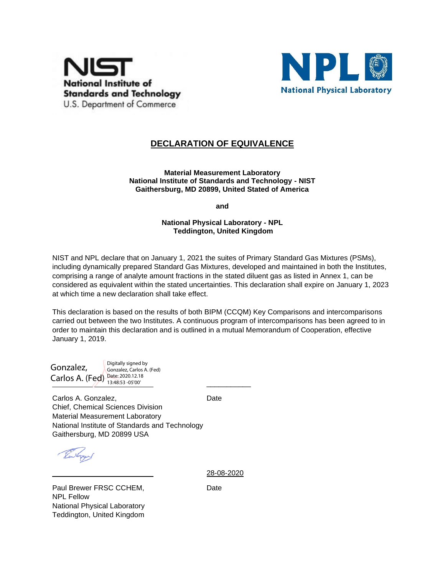



## **DECLARATION OF EQUIVALENCE**

**Material Measurement Laboratory National Institute of Standards and Technology - NIST Gaithersburg, MD 20899, United Stated of America**

**and**

## **National Physical Laboratory - NPL Teddington, United Kingdom**

NIST and NPL declare that on January 1, 2021 the suites of Primary Standard Gas Mixtures (PSMs), including dynamically prepared Standard Gas Mixtures, developed and maintained in both the Institutes, comprising a range of analyte amount fractions in the stated diluent gas as listed in Annex 1, can be considered as equivalent within the stated uncertainties. This declaration shall expire on January 1, 2023 at which time a new declaration shall take effect.

This declaration is based on the results of both BIPM (CCQM) Key Comparisons and intercomparisons carried out between the two Institutes. A continuous program of intercomparisons has been agreed to in order to maintain this declaration and is outlined in a mutual Memorandum of Cooperation, effective January 1, 2019.

Carlos A. (Fed)  $\frac{\text{Date: } 2020.12.18}{13.48.53 - 05'00'}$ Gonzalez, Gonzalez, Carlos A. (Fed)

Digitally signed by 13:48:53 -05'00'

Carlos A. Gonzalez, North Carlos A. Gonzalez, North Carlos A. Date Chief, Chemical Sciences Division Material Measurement Laboratory National Institute of Standards and Technology Gaithersburg, MD 20899 USA

Paul Brewer FRSC CCHEM, Date NPL Fellow National Physical Laboratory Teddington, United Kingdom

28-08-2020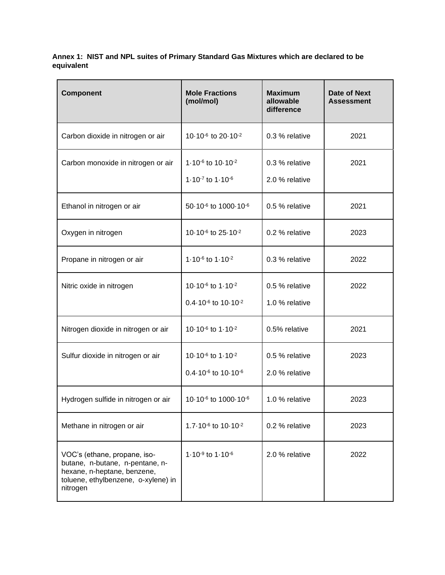**Annex 1: NIST and NPL suites of Primary Standard Gas Mixtures which are declared to be equivalent**

| <b>Component</b>                                                                                                                                  | <b>Mole Fractions</b><br>(mol/mol)                                                       | Maximum<br>allowable<br>difference | Date of Next<br><b>Assessment</b> |
|---------------------------------------------------------------------------------------------------------------------------------------------------|------------------------------------------------------------------------------------------|------------------------------------|-----------------------------------|
| Carbon dioxide in nitrogen or air                                                                                                                 | 10.10 <sup>-6</sup> to 20.10 <sup>-2</sup>                                               | 0.3 % relative                     | 2021                              |
| Carbon monoxide in nitrogen or air                                                                                                                | 1.10-6 to 10.10-2<br>1.10 $-7$ to 1.10 $-6$                                              | 0.3 % relative<br>2.0 % relative   | 2021                              |
| Ethanol in nitrogen or air                                                                                                                        | 50-10 <sup>-6</sup> to 1000-10 <sup>-6</sup>                                             | 0.5 % relative                     | 2021                              |
| Oxygen in nitrogen                                                                                                                                | 10-10 <sup>-6</sup> to 25-10 <sup>-2</sup>                                               | 0.2 % relative                     | 2023                              |
| Propane in nitrogen or air                                                                                                                        | 1.10 $-6$ to 1.10 $-2$                                                                   | 0.3 % relative                     | 2022                              |
| Nitric oxide in nitrogen                                                                                                                          | 10-10 <sup>-6</sup> to 1-10 <sup>-2</sup><br>0.4-10 <sup>-6</sup> to 10-10 <sup>-2</sup> | 0.5 % relative<br>1.0 % relative   | 2022                              |
| Nitrogen dioxide in nitrogen or air                                                                                                               | 10-10 <sup>-6</sup> to 1-10 <sup>-2</sup>                                                | 0.5% relative                      | 2021                              |
| Sulfur dioxide in nitrogen or air                                                                                                                 | 10.10 <sup>-6</sup> to 1.10 <sup>-2</sup><br>0.4-10 <sup>-6</sup> to 10-10 <sup>-6</sup> | 0.5 % relative<br>2.0 % relative   | 2023                              |
| Hydrogen sulfide in nitrogen or air                                                                                                               | 10-10 <sup>-6</sup> to 1000-10 <sup>-6</sup>                                             | 1.0 % relative                     | 2023                              |
| Methane in nitrogen or air                                                                                                                        | 1.7-10 <sup>-6</sup> to 10-10 <sup>-2</sup>                                              | 0.2 % relative                     | 2023                              |
| VOC's (ethane, propane, iso-<br>butane, n-butane, n-pentane, n-<br>hexane, n-heptane, benzene,<br>toluene, ethylbenzene, o-xylene) in<br>nitrogen | 1.10 $-9$ to 1.10 $-6$                                                                   | 2.0 % relative                     | 2022                              |